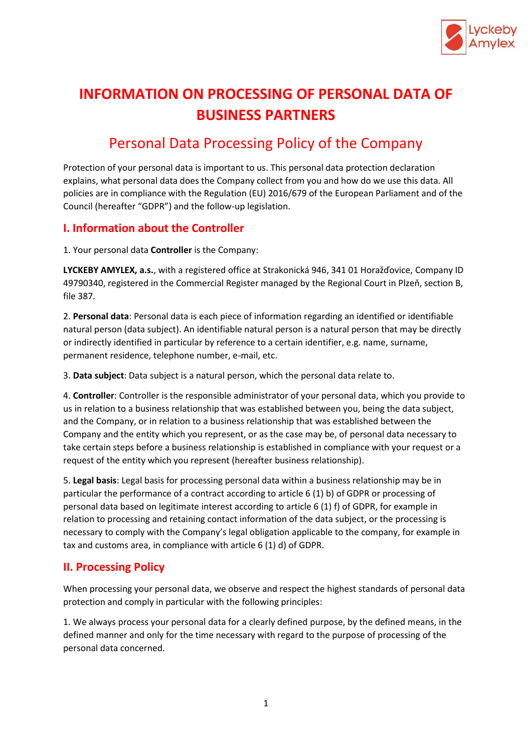

# **INFORMATION ON PROCESSING OF PERSONAL DATA OF BUSINESS PARTNERS**

# Personal Data Processing Policy of the Company

Protection of your personal data is important to us. This personal data protection declaration explains, what personal data does the Company collect from you and how do we use this data. All policies are in compliance with the Regulation (EU) 2016/679 of the European Parliament and of the Council (hereafter "GDPR") and the follow-up legislation.

## **I. Information about the Controller**

1. Your personal data **Controller** is the Company:

**LYCKEBY AMYLEX, a.s.**, with a registered office at Strakonická 946, 341 01 Horažďovice, Company ID 49790340, registered in the Commercial Register managed by the Regional Court in Plzeň, section B, file 387.

2. **Personal data**: Personal data is each piece of information regarding an identified or identifiable natural person (data subject). An identifiable natural person is a natural person that may be directly or indirectly identified in particular by reference to a certain identifier, e.g. name, surname, permanent residence, telephone number, e-mail, etc.

3. **Data subject**: Data subject is a natural person, which the personal data relate to.

4. **Controller**: Controller is the responsible administrator of your personal data, which you provide to us in relation to a business relationship that was established between you, being the data subject, and the Company, or in relation to a business relationship that was established between the Company and the entity which you represent, or as the case may be, of personal data necessary to take certain steps before a business relationship is established in compliance with your request or a request of the entity which you represent (hereafter business relationship).

5. **Legal basis**: Legal basis for processing personal data within a business relationship may be in particular the performance of a contract according to article 6 (1) b) of GDPR or processing of personal data based on legitimate interest according to article 6 (1) f) of GDPR, for example in relation to processing and retaining contact information of the data subject, or the processing is necessary to comply with the Company's legal obligation applicable to the company, for example in tax and customs area, in compliance with article 6 (1) d) of GDPR.

# **II. Processing Policy**

When processing your personal data, we observe and respect the highest standards of personal data protection and comply in particular with the following principles:

1. We always process your personal data for a clearly defined purpose, by the defined means, in the defined manner and only for the time necessary with regard to the purpose of processing of the personal data concerned.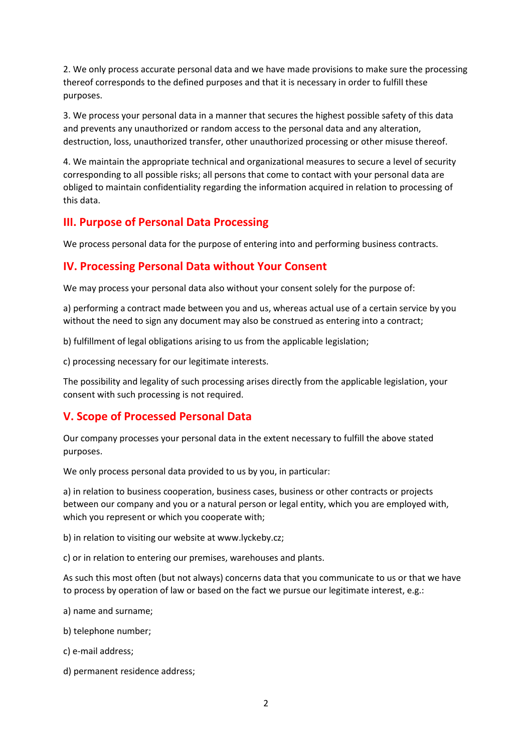2. We only process accurate personal data and we have made provisions to make sure the processing thereof corresponds to the defined purposes and that it is necessary in order to fulfill these purposes.

3. We process your personal data in a manner that secures the highest possible safety of this data and prevents any unauthorized or random access to the personal data and any alteration, destruction, loss, unauthorized transfer, other unauthorized processing or other misuse thereof.

4. We maintain the appropriate technical and organizational measures to secure a level of security corresponding to all possible risks; all persons that come to contact with your personal data are obliged to maintain confidentiality regarding the information acquired in relation to processing of this data.

# **III. Purpose of Personal Data Processing**

We process personal data for the purpose of entering into and performing business contracts.

## **IV. Processing Personal Data without Your Consent**

We may process your personal data also without your consent solely for the purpose of:

a) performing a contract made between you and us, whereas actual use of a certain service by you without the need to sign any document may also be construed as entering into a contract;

b) fulfillment of legal obligations arising to us from the applicable legislation;

c) processing necessary for our legitimate interests.

The possibility and legality of such processing arises directly from the applicable legislation, your consent with such processing is not required.

# **V. Scope of Processed Personal Data**

Our company processes your personal data in the extent necessary to fulfill the above stated purposes.

We only process personal data provided to us by you, in particular:

a) in relation to business cooperation, business cases, business or other contracts or projects between our company and you or a natural person or legal entity, which you are employed with, which you represent or which you cooperate with;

b) in relation to visiting our website at www.lyckeby.cz;

c) or in relation to entering our premises, warehouses and plants.

As such this most often (but not always) concerns data that you communicate to us or that we have to process by operation of law or based on the fact we pursue our legitimate interest, e.g.:

a) name and surname;

- b) telephone number;
- c) e-mail address;
- d) permanent residence address;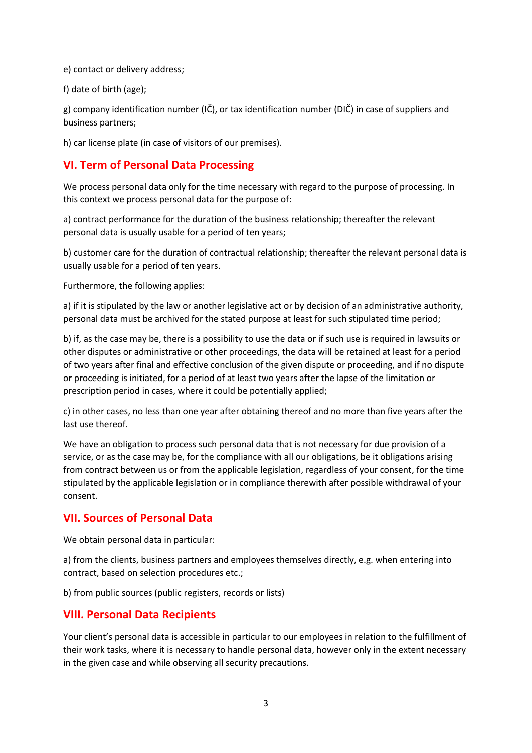e) contact or delivery address;

f) date of birth (age);

g) company identification number  $(I\breve{C})$ , or tax identification number  $(D\breve{C})$  in case of suppliers and business partners;

h) car license plate (in case of visitors of our premises).

# **VI. Term of Personal Data Processing**

We process personal data only for the time necessary with regard to the purpose of processing. In this context we process personal data for the purpose of:

a) contract performance for the duration of the business relationship; thereafter the relevant personal data is usually usable for a period of ten years;

b) customer care for the duration of contractual relationship; thereafter the relevant personal data is usually usable for a period of ten years.

Furthermore, the following applies:

a) if it is stipulated by the law or another legislative act or by decision of an administrative authority, personal data must be archived for the stated purpose at least for such stipulated time period;

b) if, as the case may be, there is a possibility to use the data or if such use is required in lawsuits or other disputes or administrative or other proceedings, the data will be retained at least for a period of two years after final and effective conclusion of the given dispute or proceeding, and if no dispute or proceeding is initiated, for a period of at least two years after the lapse of the limitation or prescription period in cases, where it could be potentially applied;

c) in other cases, no less than one year after obtaining thereof and no more than five years after the last use thereof.

We have an obligation to process such personal data that is not necessary for due provision of a service, or as the case may be, for the compliance with all our obligations, be it obligations arising from contract between us or from the applicable legislation, regardless of your consent, for the time stipulated by the applicable legislation or in compliance therewith after possible withdrawal of your consent.

## **VII. Sources of Personal Data**

We obtain personal data in particular:

a) from the clients, business partners and employees themselves directly, e.g. when entering into contract, based on selection procedures etc.;

b) from public sources (public registers, records or lists)

## **VIII. Personal Data Recipients**

Your client's personal data is accessible in particular to our employees in relation to the fulfillment of their work tasks, where it is necessary to handle personal data, however only in the extent necessary in the given case and while observing all security precautions.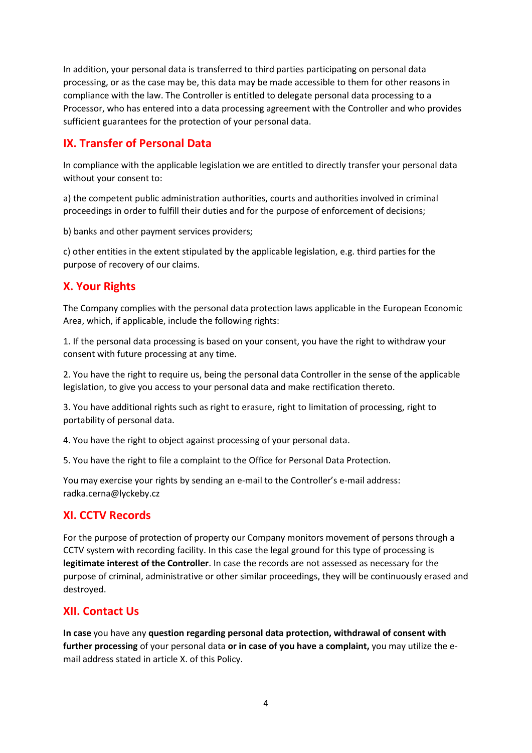In addition, your personal data is transferred to third parties participating on personal data processing, or as the case may be, this data may be made accessible to them for other reasons in compliance with the law. The Controller is entitled to delegate personal data processing to a Processor, who has entered into a data processing agreement with the Controller and who provides sufficient guarantees for the protection of your personal data.

# **IX. Transfer of Personal Data**

In compliance with the applicable legislation we are entitled to directly transfer your personal data without your consent to:

a) the competent public administration authorities, courts and authorities involved in criminal proceedings in order to fulfill their duties and for the purpose of enforcement of decisions;

b) banks and other payment services providers;

c) other entities in the extent stipulated by the applicable legislation, e.g. third parties for the purpose of recovery of our claims.

# **X. Your Rights**

The Company complies with the personal data protection laws applicable in the European Economic Area, which, if applicable, include the following rights:

1. If the personal data processing is based on your consent, you have the right to withdraw your consent with future processing at any time.

2. You have the right to require us, being the personal data Controller in the sense of the applicable legislation, to give you access to your personal data and make rectification thereto.

3. You have additional rights such as right to erasure, right to limitation of processing, right to portability of personal data.

4. You have the right to object against processing of your personal data.

5. You have the right to file a complaint to the Office for Personal Data Protection.

You may exercise your rights by sending an e-mail to the Controller's e-mail address: radka.cerna@lyckeby.cz

## **XI. CCTV Records**

For the purpose of protection of property our Company monitors movement of persons through a CCTV system with recording facility. In this case the legal ground for this type of processing is **legitimate interest of the Controller**. In case the records are not assessed as necessary for the purpose of criminal, administrative or other similar proceedings, they will be continuously erased and destroyed.

## **XII. Contact Us**

**In case** you have any **question regarding personal data protection, withdrawal of consent with further processing** of your personal data **or in case of you have a complaint,** you may utilize the email address stated in article X. of this Policy.